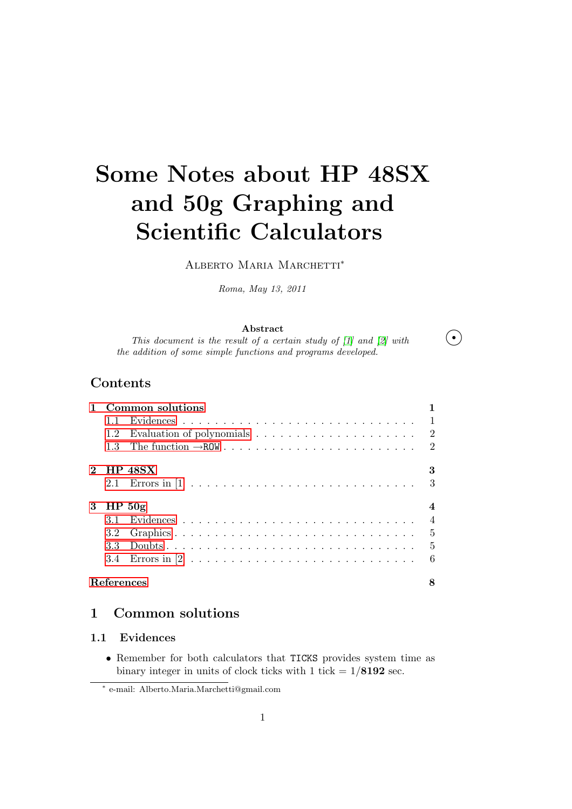# Some Notes about HP 48SX and 50g Graphing and Scientific Calculators

Alberto Maria Marchetti<sup>∗</sup>

Roma, May 13, 2011

#### Abstract

This document is the result of a certain study of [1] and [2] with  $\bullet$ the addition of some simple functions and programs developed.

## **Contents**

|   | Common solutions  |                |                |  |  |  |  |
|---|-------------------|----------------|----------------|--|--|--|--|
|   | 11.               |                |                |  |  |  |  |
|   | $1.2^{\circ}$     |                | $\overline{2}$ |  |  |  |  |
|   | 1.3               |                | 2              |  |  |  |  |
|   |                   | <b>HP 48SX</b> |                |  |  |  |  |
|   |                   |                | 3              |  |  |  |  |
| 3 | HP <sub>50g</sub> |                |                |  |  |  |  |
|   |                   |                |                |  |  |  |  |
|   | 3.2               |                | $\frac{5}{2}$  |  |  |  |  |
|   | 33                |                | $\overline{5}$ |  |  |  |  |
|   |                   |                | 6              |  |  |  |  |
|   | References        |                |                |  |  |  |  |

## 1 [Common s](#page-5-0)olutions

## [1.1 Evide](#page-7-0)nces

• Remember for both calculators that TICKS provides system time as binary integer in units of clock ticks with 1 tick  $= 1/8192$  sec.

<sup>∗</sup> e-mail: Alberto.Maria.Marchetti@gmail.com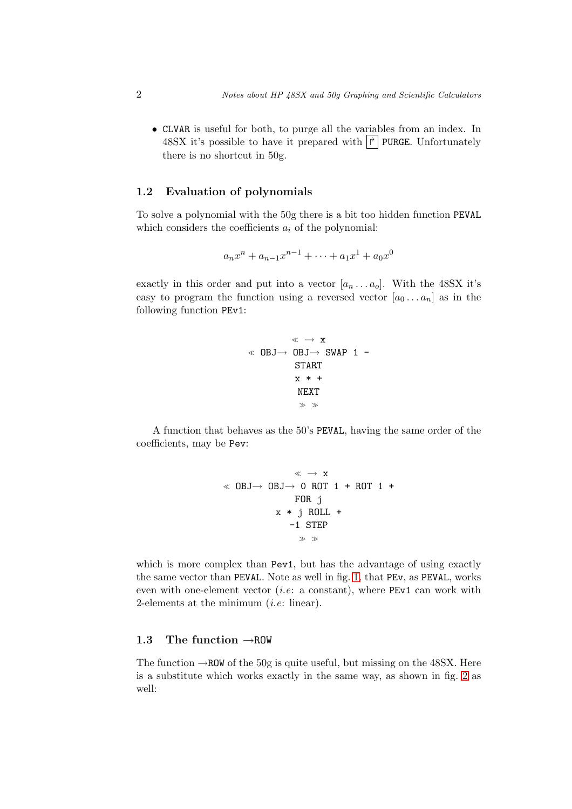<span id="page-1-0"></span>• CLVAR is useful for both, to purge all the variables from an index. In 48SX it's possible to have it prepared with  $\vert \vec{r} \vert$  PURGE. Unfortunately there is no shortcut in 50g.

## 1.2 Evaluation of polynomials

To solve a polynomial with the 50g there is a bit too hidden function PEVAL which considers the coefficients  $a_i$  of the polynomial:

$$
a_n x^n + a_{n-1} x^{n-1} + \dots + a_1 x^1 + a_0 x^0
$$

exactly in this order and put into a vector  $[a_n \dots a_o]$ . With the 48SX it's easy to program the function using a reversed vector  $[a_0 \dots a_n]$  as in the following function PEv1:

$$
\begin{array}{rcl}\n\ll & \rightarrow & x \\
\ll & \text{OBJ} \rightarrow & \text{OBJ} \rightarrow & \text{SWAP} & 1 & - \\
& & \text{START} & \\
& x & * & + \\
& & \text{NEXT} & \\
& & & \gg\n\end{array}
$$

A function that behaves as the 50's PEVAL, having the same order of the coefficients, may be Pev:

$$
\begin{array}{cccc}\n & \ast & \rightarrow & x \\
\ast & \text{OBJ} \rightarrow & \text{OBJ} \rightarrow & \text{O} & \text{ROT} & 1 + \text{ROT} & 1 + \\
 & & \text{FOR} & j & \\
 & x & * & j & \text{ROLL} & + \\
 & & -1 & \text{STEP} & \\
 & & \ast & \ast\n\end{array}
$$

which is more complex than Pev1, but has the advantage of using exactly the same vector than PEVAL. Note as well in fig. 1, that PEv, as PEVAL, works even with one-element vector *(i.e:* a constant), where  $PEv1$  can work with 2-elements at the minimum  $(i.e.$  linear).

#### 1.3 The function →ROW

The function  $\rightarrow$ ROW of the 50g is quite useful, but missing on the 48SX. Here is a substitute which works exactly in the same way, as shown in fig. 2 as well: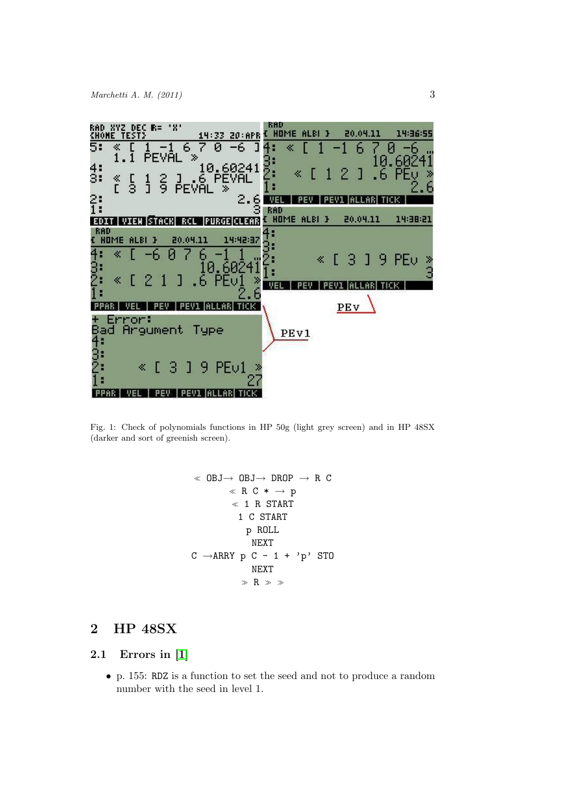<span id="page-2-0"></span>

Fig. 1: Check of polynomials functions in HP 50g (light grey screen) and in HP 48SX (darker and sort of greenish screen).

$$
\begin{array}{cccc}\n\text{\large $\ll$ DBJ$\rightarrow$ DBJ$\rightarrow$ DROP & $\rightarrow$ R$ C} \\
\text{\large $\ll$ R$ C $\ast$ $\rightarrow$ p} \\
\text{\large $\ll$ 1 R$ START} \\
\text{\large $1$ C START} \\
\text{\large $1$ C START} \\
\text{\large $p$ ROLL} \\
\text{\large $NEXT} \\
\text{\large $C$ $\rightarrow$ ARRY $p$ C$-$ 1 + 'p' STO} \\
\text{\large $NEXT} \\
\text{\large $\gg$ R $\gg$} \\
\end{array}
$$

## 2 HP 48SX

## 2.1 Errors in [1]

• p. 155: RDZ is a function to set the seed and not to produce a random number with the seed in level 1.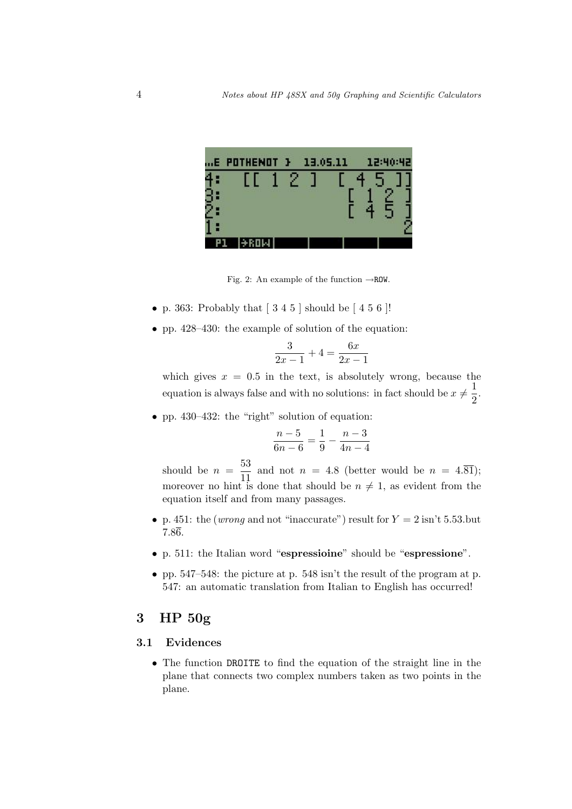<span id="page-3-0"></span>

Fig. 2: An example of the function  $\rightarrow$ ROW.

- p. 363: Probably that  $[3 4 5]$  should be  $[4 5 6]$ !
- pp. 428–430: the example of solution of the equation:

$$
\frac{3}{2x-1} + 4 = \frac{6x}{2x-1}
$$

which gives  $x = 0.5$  in the text, is absolutely wrong, because the equation is always false and with no solutions: in fact should be  $x \neq \frac{1}{2}$  $\frac{1}{2}$ .

• pp. 430–432: the "right" solution of equation:

$$
\frac{n-5}{6n-6} = \frac{1}{9} - \frac{n-3}{4n-4}
$$

should be  $n = \frac{53}{11}$  $\frac{35}{11}$  and not  $n = 4.8$  (better would be  $n = 4.\overline{81}$ ); moreover no hint is done that should be  $n \neq 1$ , as evident from the equation itself and from many passages.

- p. 451: the (wrong and not "inaccurate") result for  $Y = 2 \text{ isn't } 5.53$ . but 7.86.
- p. 511: the Italian word "espressioine" should be "espressione".
- pp. 547–548: the picture at p. 548 isn't the result of the program at p. 547: an automatic translation from Italian to English has occurred!

## 3 HP 50g

#### 3.1 Evidences

• The function DROITE to find the equation of the straight line in the plane that connects two complex numbers taken as two points in the plane.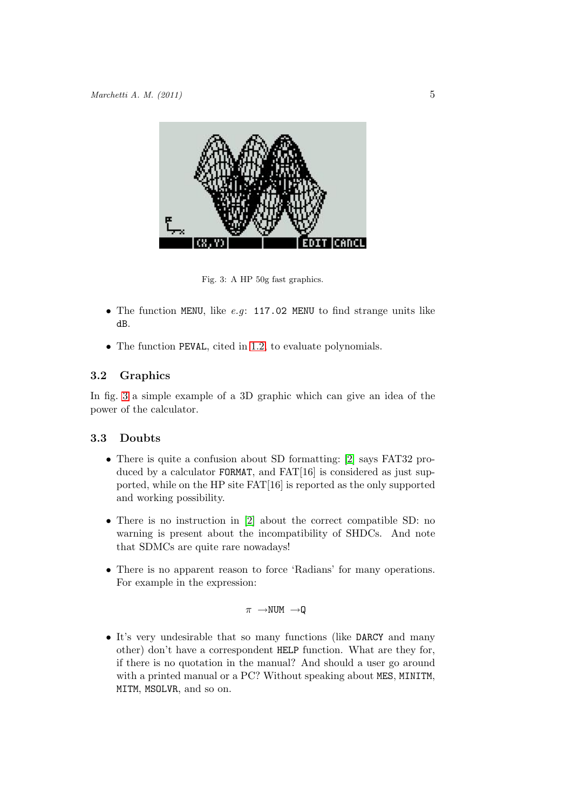<span id="page-4-0"></span>

Fig. 3: A HP 50g fast graphics.

- The function MENU, like e.g: 117.02 MENU to find strange units like dB.
- The function PEVAL, cited in 1.2, to evaluate polynomials.

## 3.2 Graphics

In fig. 3 a simple example of a 3[D gr](#page-1-0)aphic which can give an idea of the power of the calculator.

## 3.3 Doubts

- There is quite a confusion about SD formatting: [2] says FAT32 produced by a calculator FORMAT, and FAT[16] is considered as just supported, while on the HP site FAT[16] is reported as the only supported and working possibility.
- There is no instruction in [2] about the correct compatible SD: no warning is present about the incompatibility of SHDCs. And note that SDMCs are quite rare nowadays!
- There is no apparent reaso[n t](#page-7-0)o force 'Radians' for many operations. For example in the expression:

 $\pi \rightarrow$ NUM  $\rightarrow Q$ 

• It's very undesirable that so many functions (like DARCY and many other) don't have a correspondent HELP function. What are they for, if there is no quotation in the manual? And should a user go around with a printed manual or a PC? Without speaking about MES, MINITM, MITM, MSOLVR, and so on.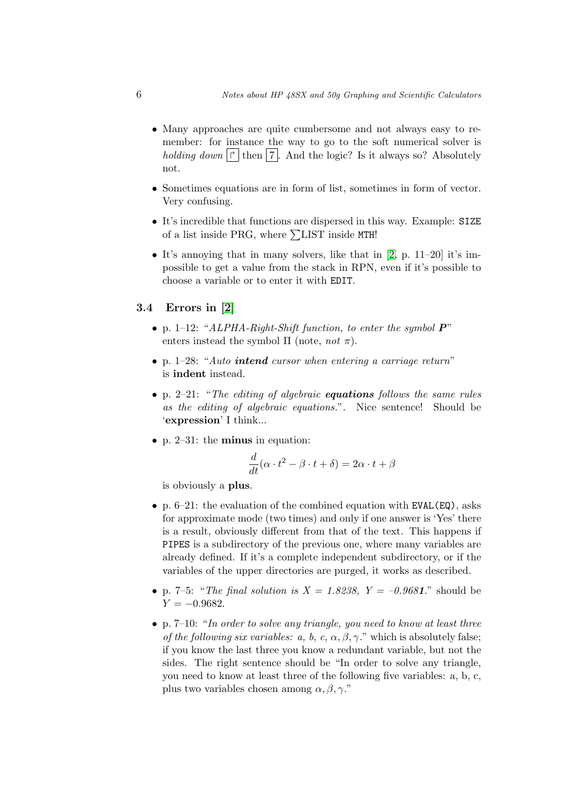- <span id="page-5-0"></span>• Many approaches are quite cumbersome and not always easy to remember: for instance the way to go to the soft numerical solver is holding down  $|\vec{r}|$  then 7. And the logic? Is it always so? Absolutely not.
- Sometimes equations are in form of list, sometimes in form of vector. Very confusing.
- It's incredible that functions are dispersed in this way. Example: SIZE of a list inside PRG, where  $\Sigma$ LIST inside MTH!
- It's annoying that in many solvers, like that in  $[2, p. 11-20]$  it's impossible to get a value from the stack in RPN, even if it's possible to choose a variable or to enter it with EDIT.
- 3.4 Errors in [2]
	- p. 1–12: "ALPHA-Right-Shift function, to enter the symbol  $P$ " enters instead the symbol  $\Pi$  (note, not  $\pi$ ).
	- p. 1–28: "Au[to](#page-7-0) **intend** cursor when entering a carriage return" is indent instead.
	- p. 2–21: "The editing of algebraic **equations** follows the same rules as the editing of algebraic equations.". Nice sentence! Should be 'expression' I think...
	- p. 2–31: the **minus** in equation:

$$
\frac{d}{dt}(\alpha \cdot t^2 - \beta \cdot t + \delta) = 2\alpha \cdot t + \beta
$$

is obviously a plus.

- p.  $6-21$ : the evaluation of the combined equation with EVAL(EQ), asks for approximate mode (two times) and only if one answer is 'Yes' there is a result, obviously different from that of the text. This happens if PIPES is a subdirectory of the previous one, where many variables are already defined. If it's a complete independent subdirectory, or if the variables of the upper directories are purged, it works as described.
- p. 7–5: "The final solution is  $X = 1.8238$ ,  $Y = -0.9681$ ." should be  $Y = -0.9682$ .
- p. 7–10: "In order to solve any triangle, you need to know at least three of the following six variables: a, b, c,  $\alpha$ ,  $\beta$ ,  $\gamma$ ." which is absolutely false; if you know the last three you know a redundant variable, but not the sides. The right sentence should be "In order to solve any triangle, you need to know at least three of the following five variables: a, b, c, plus two variables chosen among  $\alpha, \beta, \gamma$ ."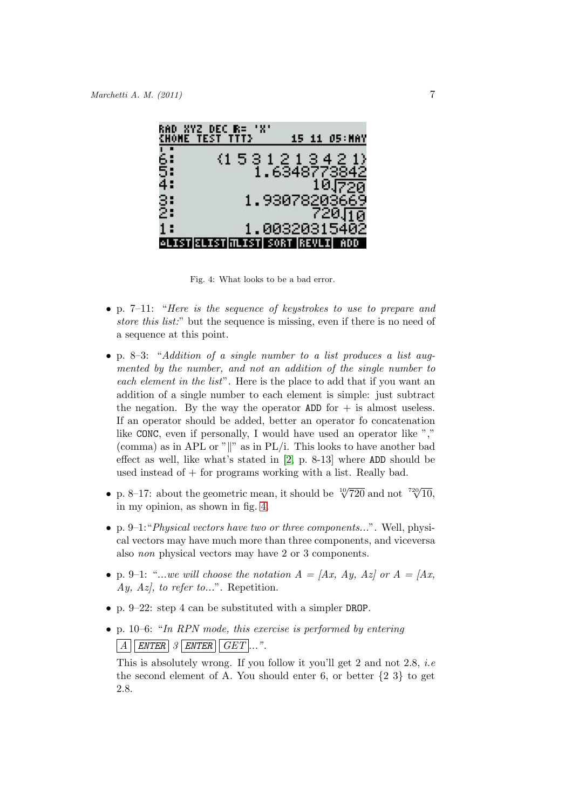|          | "XYZ DEC R= "X"<br>TEST TITE     |               |            |
|----------|----------------------------------|---------------|------------|
| 6:<br>5. | $(1\,5\,3\,1\,2\,1\,3\,4\,2\,1)$ |               |            |
| 4:       |                                  | 1.6348773842  | 10.J720    |
| 3:<br>2: |                                  | 1,93078203669 | 720.Гта    |
| 1:       | <b>ELISTMLIST SORT REVLI</b>     | 1.00320315402 | <b>ADD</b> |

Fig. 4: What looks to be a bad error.

- p. 7–11: "Here is the sequence of keystrokes to use to prepare and store this list." but the sequence is missing, even if there is no need of a sequence at this point.
- p. 8–3: "Addition of a single number to a list produces a list augmented by the number, and not an addition of the single number to each element in the list". Here is the place to add that if you want an addition of a single number to each element is simple: just subtract the negation. By the way the operator  $ADD$  for  $+$  is almost useless. If an operator should be added, better an operator fo concatenation like CONC, even if personally, I would have used an operator like "," (comma) as in APL or " $\parallel$ " as in PL/i. This looks to have another bad effect as well, like what's stated in [2, p. 8-13] where ADD should be used instead of  $+$  for programs working with a list. Really bad.
- p. 8–17: about the geometric mean, it should be  $\sqrt[10]{720}$  and not  $\sqrt[720]{10}$ , in my opinion, as shown in fig. 4.
- p. 9–1: *Physical vectors have two or three components...*". Well, physical vectors may have much more than three components, and viceversa also non physical vectors may have 2 or 3 components.
- p. 9–1: "...we will choose the notation  $A = [Ax, Ay, Az]$  or  $A = [Ax, Ax]$ Ay, Az, to refer to...". Repetition.
- p. 9–22: step 4 can be substituted with a simpler DROP.
- p. 10–6: "In RPN mode, this exercise is performed by entering  $\boxed{A}$  ENTER 3 ENTER  $\boxed{GET}...$ ".

This is absolutely wrong. If you follow it you'll get 2 and not 2.8, *i.e* the second element of A. You should enter 6, or better  $\{2, 3\}$  to get 2.8.